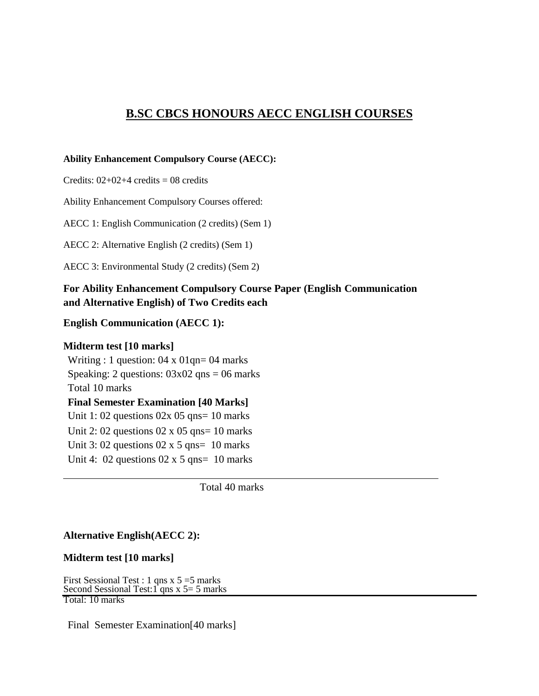## **B.SC CBCS HONOURS AECC ENGLISH COURSES**

#### **Ability Enhancement Compulsory Course (AECC):**

Credits:  $02+02+4$  credits = 08 credits

Ability Enhancement Compulsory Courses offered:

AECC 1: English Communication (2 credits) (Sem 1)

AECC 2: Alternative English (2 credits) (Sem 1)

AECC 3: Environmental Study (2 credits) (Sem 2)

## **For Ability Enhancement Compulsory Course Paper (English Communication and Alternative English) of Two Credits each**

#### **English Communication (AECC 1):**

#### **Midterm test [10 marks]**

Writing : 1 question:  $04 \times 01$ qn= 04 marks Speaking: 2 questions:  $03x02$  qns = 06 marks Total 10 marks **Final Semester Examination [40 Marks]** Unit 1: 02 questions  $02x$  05 qns= 10 marks Unit 2: 02 questions  $02 \times 05$  qns= 10 marks Unit 3: 02 questions  $02 \times 5$  qns= 10 marks Unit 4:  $02$  questions  $02 \times 5$  qns= 10 marks

Total 40 marks

#### **Alternative English(AECC 2):**

#### **Midterm test [10 marks]**

First Sessional Test : 1 qns x 5 =5 marks Second Sessional Test:  $1$  qns x 5 = 5 marks Total: 10 marks

Final Semester Examination[40 marks]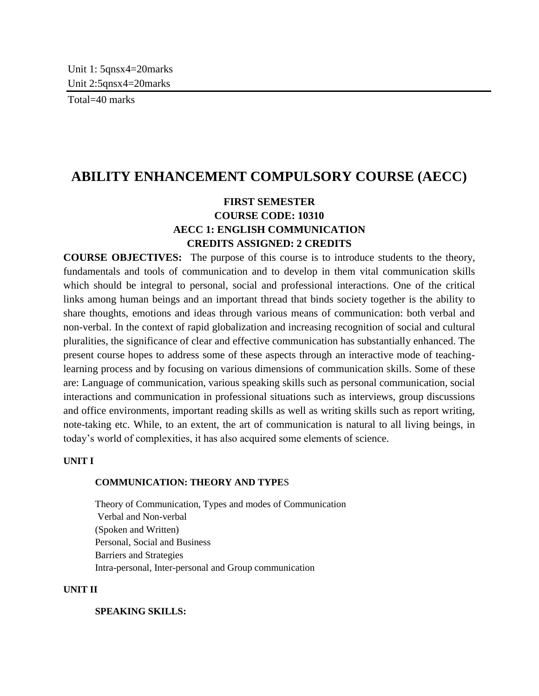Total=40 marks

# **ABILITY ENHANCEMENT COMPULSORY COURSE (AECC)**

## **FIRST SEMESTER COURSE CODE: 10310 AECC 1: ENGLISH COMMUNICATION CREDITS ASSIGNED: 2 CREDITS**

**COURSE OBJECTIVES:** The purpose of this course is to introduce students to the theory, fundamentals and tools of communication and to develop in them vital communication skills which should be integral to personal, social and professional interactions. One of the critical links among human beings and an important thread that binds society together is the ability to share thoughts, emotions and ideas through various means of communication: both verbal and non-verbal. In the context of rapid globalization and increasing recognition of social and cultural pluralities, the significance of clear and effective communication has substantially enhanced. The present course hopes to address some of these aspects through an interactive mode of teachinglearning process and by focusing on various dimensions of communication skills. Some of these are: Language of communication, various speaking skills such as personal communication, social interactions and communication in professional situations such as interviews, group discussions and office environments, important reading skills as well as writing skills such as report writing, note-taking etc. While, to an extent, the art of communication is natural to all living beings, in today's world of complexities, it has also acquired some elements of science.

## **UNIT I**

## **COMMUNICATION: THEORY AND TYPE**S

Theory of Communication, Types and modes of Communication Verbal and Non-verbal (Spoken and Written) Personal, Social and Business Barriers and Strategies Intra-personal, Inter-personal and Group communication

#### **UNIT II**

**SPEAKING SKILLS:**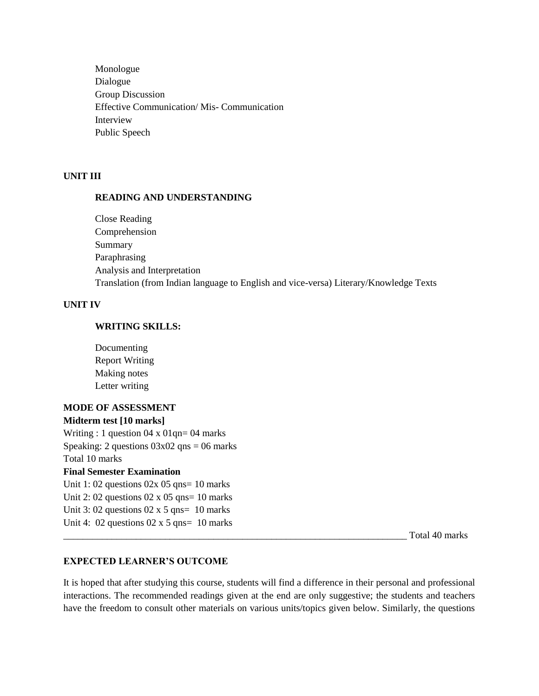Monologue Dialogue Group Discussion Effective Communication/ Mis- Communication Interview Public Speech

### **UNIT III**

#### **READING AND UNDERSTANDING**

Close Reading Comprehension Summary Paraphrasing Analysis and Interpretation Translation (from Indian language to English and vice-versa) Literary/Knowledge Texts

#### **UNIT IV**

#### **WRITING SKILLS:**

Documenting Report Writing Making notes Letter writing

## **MODE OF ASSESSMENT Midterm test [10 marks]**  Writing : 1 question 04 x 01qn= 04 marks Speaking: 2 questions  $03x02$  qns = 06 marks Total 10 marks **Final Semester Examination**  Unit 1: 02 questions  $02x$  05 qns= 10 marks Unit 2: 02 questions  $02 \times 05$  qns= 10 marks Unit 3: 02 questions  $02 \times 5$  qns= 10 marks Unit 4: 02 questions  $02 \times 5$  qns= 10 marks

Total 40 marks

## **EXPECTED LEARNER'S OUTCOME**

It is hoped that after studying this course, students will find a difference in their personal and professional interactions. The recommended readings given at the end are only suggestive; the students and teachers have the freedom to consult other materials on various units/topics given below. Similarly, the questions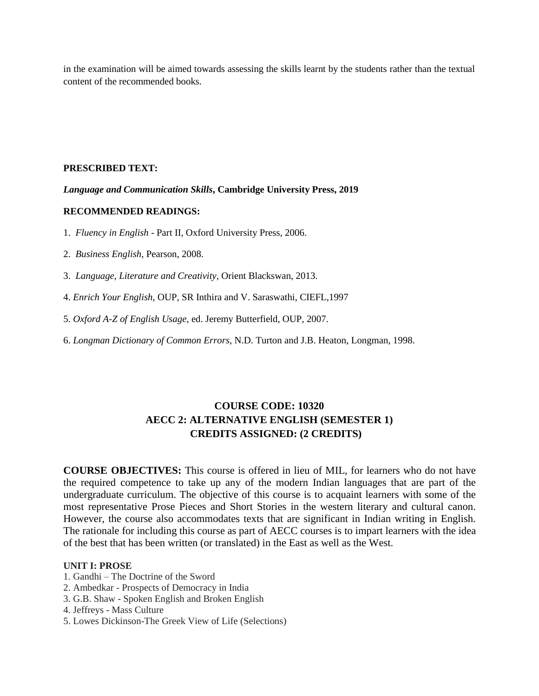in the examination will be aimed towards assessing the skills learnt by the students rather than the textual content of the recommended books.

#### **PRESCRIBED TEXT:**

#### *Language and Communication Skills***, Cambridge University Press, 2019**

#### **RECOMMENDED READINGS:**

1. *Fluency in English* - Part II, Oxford University Press, 2006.

2. *Business English*, Pearson, 2008.

3. *Language, Literature and Creativity*, Orient Blackswan, 2013.

- 4. *Enrich Your English*, OUP, SR Inthira and V. Saraswathi, CIEFL,1997
- 5. *Oxford A-Z of English Usage*, ed. Jeremy Butterfield, OUP, 2007.
- 6. *Longman Dictionary of Common Errors*, N.D. Turton and J.B. Heaton, Longman, 1998.

## **COURSE CODE: 10320 AECC 2: ALTERNATIVE ENGLISH (SEMESTER 1) CREDITS ASSIGNED: (2 CREDITS)**

**COURSE OBJECTIVES:** This course is offered in lieu of MIL, for learners who do not have the required competence to take up any of the modern Indian languages that are part of the undergraduate curriculum. The objective of this course is to acquaint learners with some of the most representative Prose Pieces and Short Stories in the western literary and cultural canon. However, the course also accommodates texts that are significant in Indian writing in English. The rationale for including this course as part of AECC courses is to impart learners with the idea of the best that has been written (or translated) in the East as well as the West.

#### **UNIT I: PROSE**

- 1. Gandhi The Doctrine of the Sword
- 2. Ambedkar Prospects of Democracy in India
- 3. G.B. Shaw Spoken English and Broken English
- 4. Jeffreys Mass Culture
- 5. Lowes Dickinson-The Greek View of Life (Selections)